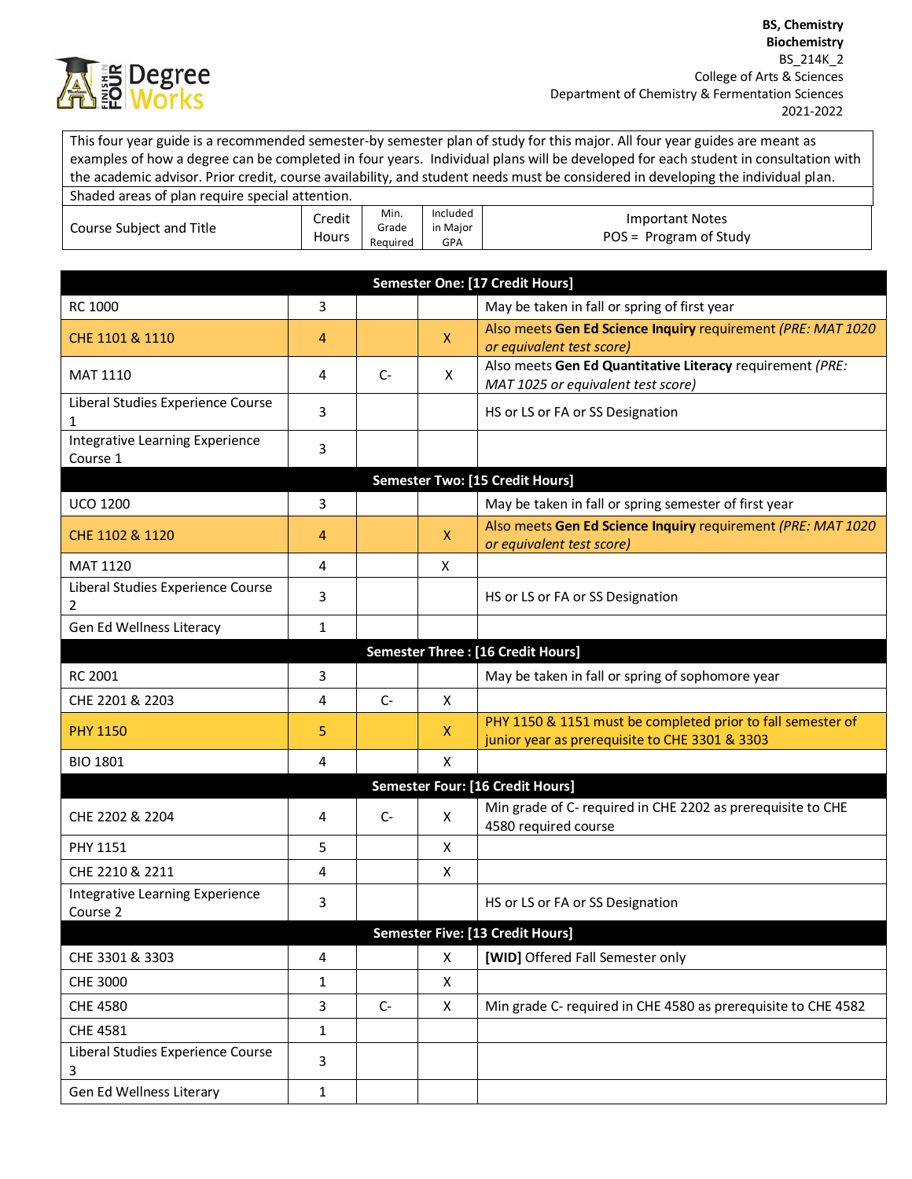

This four year guide is a recommended semester-by semester plan of study for this major. All four year guides are meant as examples of how a degree can be completed in four years. Individual plans will be developed for each student in consultation with the academic advisor. Prior credit, course availability, and student needs must be considered in developing the individual plan.

| Shaded areas of plan require special attention. |                 |                           |                                    |                                                  |
|-------------------------------------------------|-----------------|---------------------------|------------------------------------|--------------------------------------------------|
| Course Subject and Title                        | Credit<br>Hours | Min.<br>Grade<br>Reauired | Included<br>in Maior<br><b>GPA</b> | <b>Important Notes</b><br>POS = Program of Study |

| Also meets Gen Ed Science Inquiry requirement (PRE: MAT 1020                                                  |  |  |  |  |  |
|---------------------------------------------------------------------------------------------------------------|--|--|--|--|--|
|                                                                                                               |  |  |  |  |  |
|                                                                                                               |  |  |  |  |  |
| Also meets Gen Ed Quantitative Literacy requirement (PRE:                                                     |  |  |  |  |  |
|                                                                                                               |  |  |  |  |  |
|                                                                                                               |  |  |  |  |  |
|                                                                                                               |  |  |  |  |  |
| May be taken in fall or spring semester of first year                                                         |  |  |  |  |  |
| Also meets Gen Ed Science Inquiry requirement (PRE: MAT 1020                                                  |  |  |  |  |  |
|                                                                                                               |  |  |  |  |  |
|                                                                                                               |  |  |  |  |  |
|                                                                                                               |  |  |  |  |  |
|                                                                                                               |  |  |  |  |  |
| May be taken in fall or spring of sophomore year                                                              |  |  |  |  |  |
|                                                                                                               |  |  |  |  |  |
| PHY 1150 & 1151 must be completed prior to fall semester of<br>junior year as prerequisite to CHE 3301 & 3303 |  |  |  |  |  |
|                                                                                                               |  |  |  |  |  |
| Semester Four: [16 Credit Hours]                                                                              |  |  |  |  |  |
| Min grade of C- required in CHE 2202 as prerequisite to CHE                                                   |  |  |  |  |  |
|                                                                                                               |  |  |  |  |  |
|                                                                                                               |  |  |  |  |  |
|                                                                                                               |  |  |  |  |  |
| Semester Five: [13 Credit Hours]                                                                              |  |  |  |  |  |
|                                                                                                               |  |  |  |  |  |
|                                                                                                               |  |  |  |  |  |
| Min grade C- required in CHE 4580 as prerequisite to CHE 4582                                                 |  |  |  |  |  |
|                                                                                                               |  |  |  |  |  |
|                                                                                                               |  |  |  |  |  |
|                                                                                                               |  |  |  |  |  |
|                                                                                                               |  |  |  |  |  |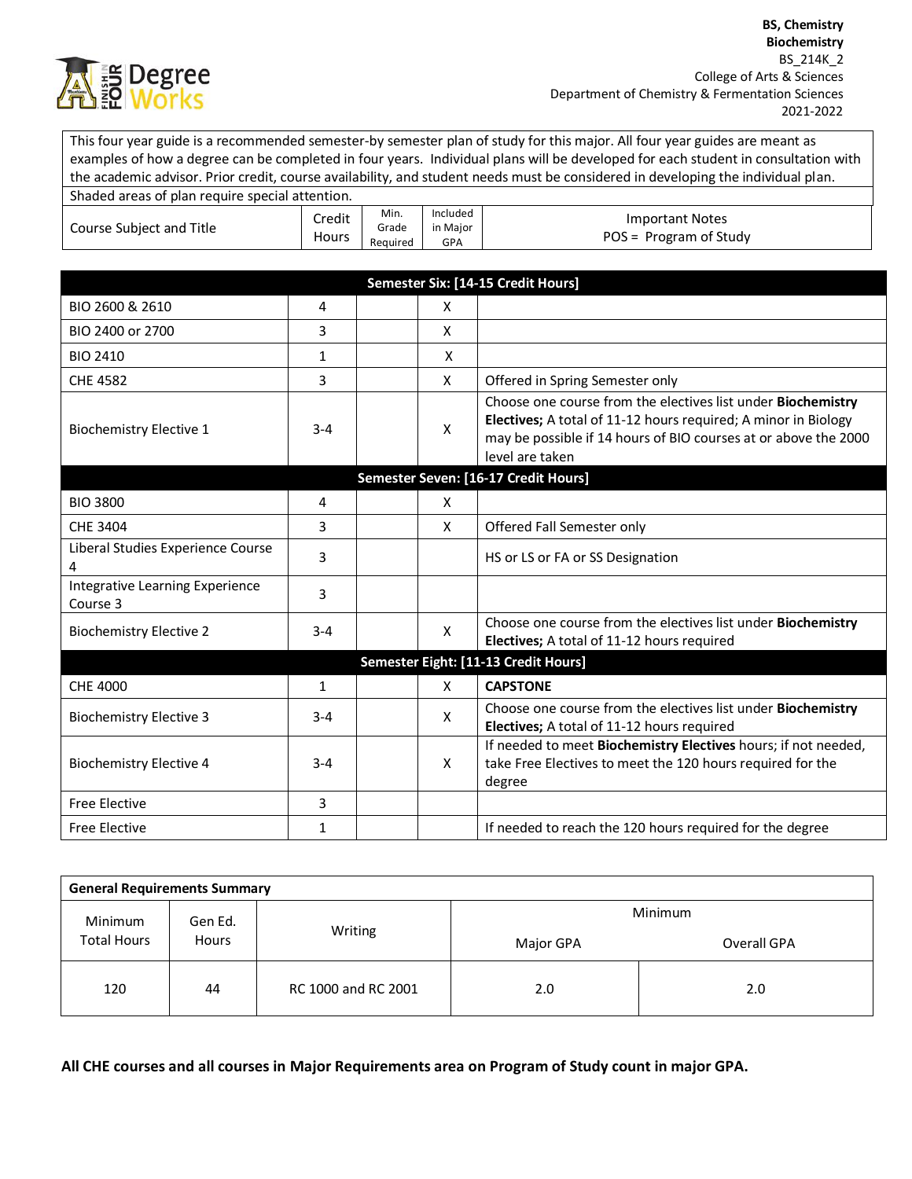

This four year guide is a recommended semester-by semester plan of study for this major. All four year guides are meant as examples of how a degree can be completed in four years. Individual plans will be developed for each student in consultation with the academic advisor. Prior credit, course availability, and student needs must be considered in developing the individual plan.

| Shaded areas of plan require special attention. |                 |                           |                             |                                                  |
|-------------------------------------------------|-----------------|---------------------------|-----------------------------|--------------------------------------------------|
| Course Subject and Title                        | Credit<br>Hours | Min.<br>Grade<br>Reauired | Included<br>in Maior<br>GPA | <b>Important Notes</b><br>POS = Program of Study |

| Semester Six: [14-15 Credit Hours]          |              |              |                                                                                                                                                                                                                      |  |  |  |
|---------------------------------------------|--------------|--------------|----------------------------------------------------------------------------------------------------------------------------------------------------------------------------------------------------------------------|--|--|--|
| BIO 2600 & 2610                             | 4            | X            |                                                                                                                                                                                                                      |  |  |  |
| BIO 2400 or 2700                            | 3            | $\mathsf{x}$ |                                                                                                                                                                                                                      |  |  |  |
| <b>BIO 2410</b>                             | $\mathbf{1}$ | X            |                                                                                                                                                                                                                      |  |  |  |
| <b>CHE 4582</b>                             | 3            | X            | Offered in Spring Semester only                                                                                                                                                                                      |  |  |  |
| <b>Biochemistry Elective 1</b>              | $3 - 4$      | X            | Choose one course from the electives list under Biochemistry<br>Electives; A total of 11-12 hours required; A minor in Biology<br>may be possible if 14 hours of BIO courses at or above the 2000<br>level are taken |  |  |  |
| Semester Seven: [16-17 Credit Hours]        |              |              |                                                                                                                                                                                                                      |  |  |  |
| <b>BIO 3800</b>                             | 4            | X            |                                                                                                                                                                                                                      |  |  |  |
| CHE 3404                                    | 3            | $\mathsf{x}$ | Offered Fall Semester only                                                                                                                                                                                           |  |  |  |
| Liberal Studies Experience Course<br>4      | 3            |              | HS or LS or FA or SS Designation                                                                                                                                                                                     |  |  |  |
| Integrative Learning Experience<br>Course 3 | 3            |              |                                                                                                                                                                                                                      |  |  |  |
| <b>Biochemistry Elective 2</b>              | $3 - 4$      | X            | Choose one course from the electives list under Biochemistry<br>Electives; A total of 11-12 hours required                                                                                                           |  |  |  |
| Semester Eight: [11-13 Credit Hours]        |              |              |                                                                                                                                                                                                                      |  |  |  |
| CHE 4000                                    | $\mathbf{1}$ | $\mathsf{x}$ | <b>CAPSTONE</b>                                                                                                                                                                                                      |  |  |  |
| <b>Biochemistry Elective 3</b>              | $3 - 4$      | X            | Choose one course from the electives list under Biochemistry<br>Electives; A total of 11-12 hours required                                                                                                           |  |  |  |
| <b>Biochemistry Elective 4</b>              | $3 - 4$      | X            | If needed to meet Biochemistry Electives hours; if not needed,<br>take Free Electives to meet the 120 hours required for the<br>degree                                                                               |  |  |  |
| <b>Free Elective</b>                        | 3            |              |                                                                                                                                                                                                                      |  |  |  |
| <b>Free Elective</b>                        | $\mathbf{1}$ |              | If needed to reach the 120 hours required for the degree                                                                                                                                                             |  |  |  |

| <b>General Requirements Summary</b>                      |         |                     |             |     |  |  |  |
|----------------------------------------------------------|---------|---------------------|-------------|-----|--|--|--|
| Minimum<br>Gen Ed.<br><b>Total Hours</b><br><b>Hours</b> |         |                     | Minimum     |     |  |  |  |
|                                                          | Writing | Major GPA           | Overall GPA |     |  |  |  |
| 120                                                      | 44      | RC 1000 and RC 2001 | 2.0         | 2.0 |  |  |  |

**All CHE courses and all courses in Major Requirements area on Program of Study count in major GPA.**